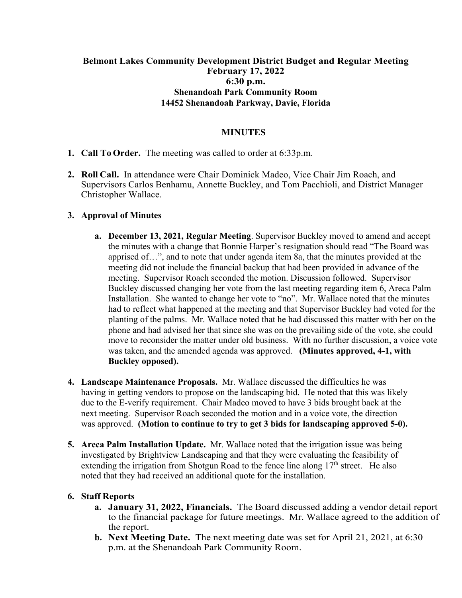# **Belmont Lakes Community Development District Budget and Regular Meeting February 17, 2022 6:30 p.m. Shenandoah Park Community Room 14452 Shenandoah Parkway, Davie, Florida**

### **MINUTES**

- **1. Call To Order.** The meeting was called to order at 6:33p.m.
- **2. Roll Call.** In attendance were Chair Dominick Madeo, Vice Chair Jim Roach, and Supervisors Carlos Benhamu, Annette Buckley, and Tom Pacchioli, and District Manager Christopher Wallace.

### **3. Approval of Minutes**

- **a. December 13, 2021, Regular Meeting**. Supervisor Buckley moved to amend and accept the minutes with a change that Bonnie Harper's resignation should read "The Board was apprised of…", and to note that under agenda item 8a, that the minutes provided at the meeting did not include the financial backup that had been provided in advance of the meeting. Supervisor Roach seconded the motion. Discussion followed. Supervisor Buckley discussed changing her vote from the last meeting regarding item 6, Areca Palm Installation. She wanted to change her vote to "no". Mr. Wallace noted that the minutes had to reflect what happened at the meeting and that Supervisor Buckley had voted for the planting of the palms. Mr. Wallace noted that he had discussed this matter with her on the phone and had advised her that since she was on the prevailing side of the vote, she could move to reconsider the matter under old business. With no further discussion, a voice vote was taken, and the amended agenda was approved. **(Minutes approved, 4-1, with Buckley opposed).**
- **4. Landscape Maintenance Proposals.** Mr. Wallace discussed the difficulties he was having in getting vendors to propose on the landscaping bid. He noted that this was likely due to the E-verify requirement. Chair Madeo moved to have 3 bids brought back at the next meeting. Supervisor Roach seconded the motion and in a voice vote, the direction was approved. **(Motion to continue to try to get 3 bids for landscaping approved 5-0).**
- **5. Areca Palm Installation Update.** Mr. Wallace noted that the irrigation issue was being investigated by Brightview Landscaping and that they were evaluating the feasibility of extending the irrigation from Shotgun Road to the fence line along  $17<sup>th</sup>$  street. He also noted that they had received an additional quote for the installation.

#### **6. Staff Reports**

- **a. January 31, 2022, Financials.** The Board discussed adding a vendor detail report to the financial package for future meetings. Mr. Wallace agreed to the addition of the report.
- **b. Next Meeting Date.** The next meeting date was set for April 21, 2021, at 6:30 p.m. at the Shenandoah Park Community Room.